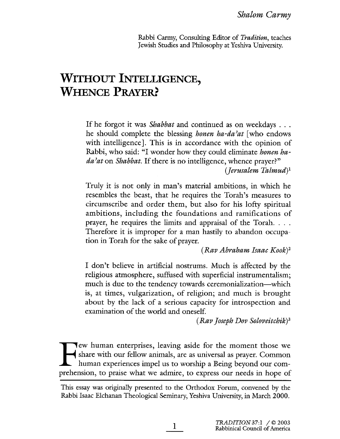Rabbi Carmy, Consulting Editor of Tradition, teaches Jewish Studies and Philosophy at Yeshiva University.

# WITHOUT INTELLIGENCE, **WHENCE PRAYER?**

If he forgot it was *Shabbat* and continued as on weekdays . . . he should complete the blessing honen ha-da'at [who endows with intelligence]. This is in accordance with the opinion of Rabbi, who said: "I wonder how they could eliminate *honen ha* $da<sup>2</sup>at$  on *Shabbat*. If there is no intelligence, whence prayer?"  $(Terusalem Talmud)^{1}$ 

Truly it is not only in man's material ambitions, in which he resembles the beast, that he requires the Torah's measures to circumscribe and order them, but also for his lofty spiritual ambitions, including the foundations and ramifications of prayer, he requires the limits and appraisal of the Torah. . . . Therefore it is improper for a man hastily to abandon occupation in Torah for the sake of prayer.

 $(Rap$  Abraham Isaac Kook)<sup>2</sup>

I don't believe in artificial nostrums. Much is affected by the religious atmosphere, suffused with superficial instrumentalsm; much is due to the tendency towards ceremonialization—which is, at times, vulgarization, of religion; and much is brought about by the lack of a serious capacity for introspection and examination of the world and oneself.

(Rav Joseph Dov Soloveitchik)3

Tew human enterprises, leaving aside for the moment those we share with our fellow anmals, are as universal as prayer. Common human experiences impel us to worship a Being beyond our comprehension, to praise what we admie, to express our needs in hope of

 $\mathbf{l}$ 

This essay was origialy presented to the Orthodox Forum, convened by the Rabbi Isaac Eichanan Theological Semiary, Yeshiva University, in March 2000.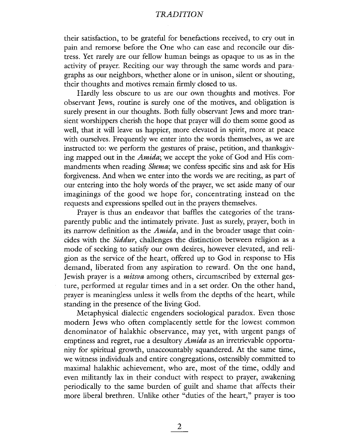their satisfaction, to be grateful for benefactions received, to cry out in pain and remorse before the One who can ease and reconcile our distress. Yet rarely are our fellow human beings as opaque to us as in the activity of prayer. Reciting our way through the same words and paragraphs as our neighbors, whether alone or in unison, silent or shouting, their thoughts and motives remain firmly closed to us.

Hardly less obscure to us are our own thoughts and motives. For observant Jews, routine is surely one of the motives, and obligation is surely present in our thoughts. Both fully observant Jews and more transient worshippers cherish the hope that prayer will do them some good as well, that it will leave us happier, more elevated in spirit, more at peace with ourselves. Frequently we enter into the words themselves, as we are instructed to: we perform the gestures of praise, petition, and thanksgiving mapped out in the *Amida*; we accept the yoke of God and His commandments when reading *Shema*; we confess specific sins and ask for His forgiveness. And when we enter into the words we are recitig, as part of our entering into the holy words of the prayer, we set aside many of our imaginings of the good we hope for, concentrating instead on the requests and expressions spelled out in the prayers themselves.

Prayer is thus an endeavor that baffles the categories of the transparently public and the intimately private. Just as surely, prayer, both in its narrow definition as the  $Amida$ , and in the broader usage that coincides with the Siddur, challenges the distinction between religion as a mode of seeking to satisfy our own desires, however elevated, and religion as the service of the heart, offered up to God in response to His demand, liberated from any aspiration to reward. On the one hand, Jewish prayer is a *mitsva* among others, circumscribed by external gesture, performed at regular times and in a set order. On the other hand, prayer is meaningless unless it wells from the depths of the heart, while standing in the presence of the living God.

Metaphysical dialectic engenders sociological paradox. Even those modern Jews who often complacently settle for the lowest common denominator of halakhic observance, may yet, with urgent pangs of emptiness and regret, rue a desultory Amida as an irretrievable opportunity for spiritual growth, unaccountably squandered. At the same time, we witness individuals and entire congregations, ostensibly committed to maximal halakhic achievement, who are, most of the time, oddly and even miltantly lax in their conduct with respect to prayer, awakening periodically to the same burden of guilt and shame that affects their more liberal brethren. Unlike other "duties of the heart," prayer is too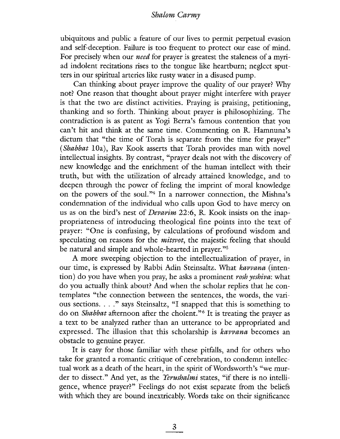ubiquitous and public a featue of our lives to permit perpetual evasion and self-deception. Failure is too frequent to protect our ease of mind. For precisely when our *need* for prayer is greatest the staleness of a myriad indolent recitations rises to the tongue like heartburn; neglect sputters in our spiritual arteries like rusty water in a disused pump.

Can thinking about prayer improve the quality of our prayer? Why not? One reason that thought about prayer might interfere with prayer is that the two are distinct activities. Praying is praising, petitioning, thankng and so forth. Thiking about prayer is philosophizing. The contradiction is as patent as Yogi Berra's famous contention that you can't hit and think at the same time. Commenting on R. Hamnuna's dictum that "the time of Torah is separate from the time for prayer" (Shabbat lOa), Rav Kook asserts that Torah provides man with novel intellectual insights. By contrast, "prayer deals not with the discovery of new knowledge and the enrichment of the human intellect with their truth, but with the utilization of already attained knowledge, and to deepen through the power of feeling the imprint of moral knowledge on the powers of the soul."4 In a narrower connection, the Mishna's condemnation of the individual who cals upon God to have mercy on us as on the bird's nest of Devarim 22:6, R. Kook insists on the inappropriateness of introducing theological fine points into the text of prayer: "One is confusing, by calculations of profound wisdom and speculating on reasons for the *mitsvot*, the majestic feeling that should be natural and simple and whole-hearted in prayer. "5

A more sweeping objection to the intellectualization of prayer, in our time, is expressed by Rabbi Adin Steinsaltz. What kavvana (intention) do you have when you pray, he asks a prominent rosh yeshiva: what do you actually think about? And when the scholar replies that he contemplates "the connection between the sentences, the words, the various sections. . . ." says Steinsaltz, "I snapped that this is something to do on *Shabbat* afternoon after the cholent."<sup>6</sup> It is treating the prayer as a text to be analyzed rather than an utterance to be appropriated and expressed. The ilusion that this scholarship is kavvana becomes an obstacle to genuine prayer.

It is easy for those familar with these pitfals, and for others who take for granted a romantic critique of cerebration, to condemn intellectual work as a death of the heart, in the spirit of Wordsworth's "we murder to dissect." And yet, as the *Yerushalmi* states, "if there is no intelligence, whence prayer?" Feeligs do not exist separate from the beliefs with which they are bound inextricably. Words take on their significance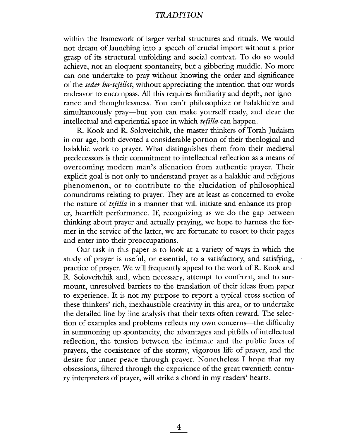within the framework of larger verbal structures and rituals. We would not dream of launchig into a speech of crucial import without a prior grasp of its structural unfolding and social context. To do so would achieve, not an eloquent spontaneity, but a gibbering muddle. No more can one undertake to pray without knowing the order and significance of the seder ha-tefillot, without appreciating the intention that our words endeavor to encompass. All this requires familiarity and depth, not ignorance and thoughtlessness. You can't philosophize or halakhicize and simultaneously pray—but you can make yourself ready, and clear the intellectual and experiential space in which tefilla can happen.

R. Kook and R. Soloveitchik, the master thinkers of Torah Judaism in our age, both devoted a considerable portion of their theological and halakhic work to prayer. What distinguishes them from their medieval predecessors is their commitment to intellectual reflection as a means of overcoming modern man's alienation from authentic prayer. Their explicit goal is not only to understand prayer as a halakhic and religious phenomenon, or to contribute to the elucidation of philosophical conundrums relating to prayer. They are at least as concerned to evoke the nature of tefilla in a manner that will initiate and enhance its proper, heartfelt performance. If, recognizing as we do the gap between thinking about prayer and actually praying, we hope to harness the former in the service of the latter, we are fortuate to resort to their pages and enter into their preoccupations.

Our task in this paper is to look at a variety of ways in which the study of prayer is useful, or essential, to a satisfactory, and satisfying, practice of prayer. We wil frequently appeal to the work of R. Kook and R. Soloveitchik and, when necessary, attempt to confront, and to surmount, unresolved barriers to the translation of their ideas from paper to experience. It is not my purpose to report a typical cross section of these thinkers' rich, inexhaustible creativity in this area, or to undertake the detailed line-by-line analysis that their texts often reward. The selection of examples and problems reflects my own concerns--- the difficulty in summoning up spontaneity, the advantages and pitfals of intellectual reflection, the tension between the intimate and the public faces of prayers, the coexistence of the stormy, vigorous life of prayer, and the desire for inner peace through prayer. Nonetheless I hope that my obsessions, filtered through the experience of the great twentieth century interpreters of prayer, will strike a chord in my readers' hearts.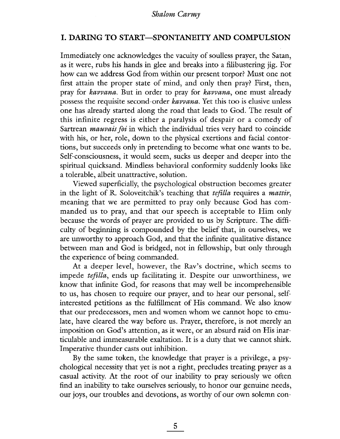## I. DARING TO START-SPONTANEITY AND COMPULSION

Immediately one acknowledges the vacuity of soulless prayer, the Satan, as it were, rubs his hands in glee and breaks into a filibustering jig. For how can we address God from within our present torpor? Must one not first attain the proper state of mind, and only then pray? First, then, pray for kavvana. But in order to pray for kavvana, one must already possess the requisite second-order kavvana. Yet this too is elusive unless one has already started along the road that leads to God. The result of this infinite regress is either a paralysis of despair or a comedy of Sartrean *mauvais foi* in which the individual tries very hard to coincide with his, or her, role, down to the physical exertions and facial contortions, but succeeds only in pretending to become what one wants to be. Self-consciousness, it would seem, sucks us deeper and deeper into the spiritual quicksand. Mindless behavioral conformity suddenly looks like a tolerable, albeit unattractive, solution.

Viewed superficialy, the psychological obstruction becomes greater in the light of R. Soloveitchik's teaching that *tefilla* requires a *mattir*, meaning that we are permitted to pray only because God has commanded us to pray, and that our speech is acceptable to Him only because the words of prayer are provided to us by Scripture. The dificulty of beginning is compounded by the belief that, in ourselves, we are unworthy to approach God, and that the infinite qualitative distance between man and God is bridged, not in fellowship, but only through the experience of being commanded.

At a deeper level, however, the Rav's doctrine, which seems to impede tefilla, ends up facilitating it. Despite our unworthiness, we know that infinite God, for reasons that may well be incomprehensible to us, has chosen to require our prayer, and to hear our personal, selfinterested petitions as the fulfilment of His command. We also know that our predecessors, men and women whom we canot hope to emulate, have cleared the way before us. Prayer, therefore, is not merely an imposition on God's attention, as it were, or an absurd raid on His inarticulable and immeasurable exaltation. It is a duty that we canot shik. Imperative thunder casts out inbition.

By the same token, the knowledge that prayer is a privilege, a psychological necessity that yet is not a right, precludes treating prayer as a casual activity. At the root of our inability to pray seriously we often find an inabilty to take ourselves seriously, to honor our genuine needs, our joys, our troubles and devotions, as worthy of our own solemn con-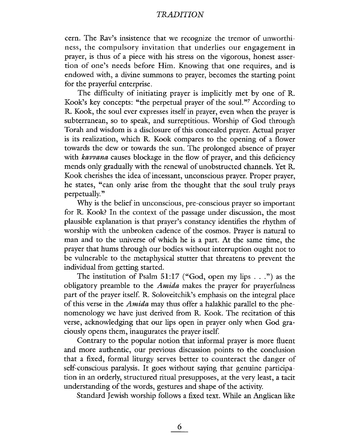cern. The Rav's insistence that we recognize the tremor of unworthness, the compulsory invitation that underlies our engagement in prayer, is thus of a piece with his stress on the vigorous, honest assertion of one's needs before Him. Knowing that one requires, and is endowed with, a divine summons to prayer, becomes the starting point for the prayerful enterprise.

The difficulty of initiating prayer is implicitly met by one of R. Kook's key concepts: "the perpetual prayer of the soul."<sup>7</sup> According to R. Kook, the soul ever expresses itself in prayer, even when the prayer is subterranean, so to speak, and surreptitious. Worship of God through Torah and wisdom is a disclosure of ths concealed prayer. Actual prayer is its realzation, which R. Kook compares to the openig of a flower towards the dew or towards the sun. The prolonged absence of prayer with *kavvana* causes blockage in the flow of prayer, and this deficiency mends only gradualy with the renewal of unobstructed chanels. Yet R. Kook cherishes the idea of incessant, unconscious prayer. Proper prayer, he states, "can only arise from the thought that the soul truly prays perpetually."

Why is the belief in unconscious, pre-conscious prayer so important for R. Kook? In the context of the passage under discussion, the most plausible explanation is that prayer's constancy identifies the rhytm of worship with the unbroken cadence of the cosmos. Prayer is natural to man and to the universe of which he is a part. At the same time, the prayer that hums through our bodies without interruption ought not to be vulnerable to the metaphysical stutter that threatens to prevent the individual from getting started.

The institution of Psalm  $51:17$  ("God, open my lips...") as the obligatory preamble to the Amida makes the prayer for prayerfulness part of the prayer itself. R. Soloveitchik's emphasis on the integral place of this verse in the *Amida* may thus offer a halakhic parallel to the phenomenology we have just derived from R. Kook. The recitation of this verse, acknowledging that our lips open in prayer only when God graciously opens them, inaugurates the prayer itself.

Contrary to the popular notion that informal prayer is more fluent and more authentic, our previous discussion points to the conclusion that a fixed, formal liturgy serves better to counteract the danger of self-conscious paralysis. It goes wirhout saying diar genuine participation in an orderly, structured ritual presupposes, at the very least, a tacit understandig of the words, gestues and shape of the activity.

Standard Jewish worship follows a fixed text. While an Anglican like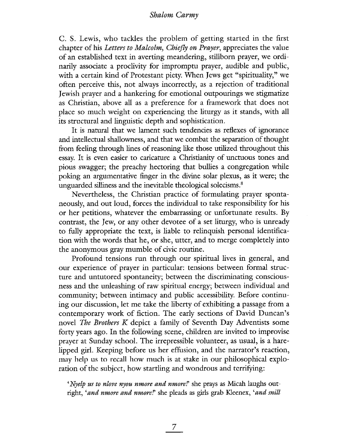C. S. Lewis, who tackles the problem of getting started in the first chapter of his Letters to Malcolm, Chiefly on Prayer, appreciates the value of an established text in averting meandering, stillborn prayer, we ordinarily associate a proclivity for impromptu prayer, audible and public, with a certain kind of Protestant piety. When Jews get "spirituality," we often perceive this, not always incorrectly, as a rejection of traditional Jewish prayer and a hankering for emotional outpourings we stigmatize as Christian, above all as a preference for a framework that does not place so much weight on experiencing the liturgy as it stands, with al its structural and linguistic depth and sophistication.

It is natural that we lament such tendencies as reflexes of ignorance and intellectual shalowness, and that we combat the separation of thought from feeling through lines of reasoning like those utilized throughout this essay. It is even easier to caricature a Christianity of unctuous tones and pious swagger; the preachy hectoring that bullies a congregation while poking an argumentative finger in the divine solar plexus, as it were; the unguarded silliness and the inevitable theological solecisms.<sup>8</sup>

Nevertheless, the Christian practice of formulating prayer spontaneously, and out loud, forces the individual to take responsibilty for his or her petitions, whatever the embarrassing or unfortunate results. By contrast, the Jew, or any other devotee of a set liturgy, who is unready to fully appropriate the text, is liable to relinquish personal identification with the words that he, or she, utter, and to merge completely into the anonymous gray mumble of civic routine.

Profound tensions run through our spiritual lives in general, and our experience of prayer in particular: tensions between formal structure and untutored spontaneity; between the discriminating consciousness and the unleashig of raw spiritual energy; between individual and community; between intimacy and public accessibility. Before contiuing our discussion, let me take the liberty of exhibiting a passage from a contemporary work of fiction. The early sections of David Duncan's novel The Brothers  $K$  depict a family of Seventh Day Adventists some forty years ago. In the following scene, chidren are invited to improvise prayer at Sunday schooL. The irrepressible volunteer, as usual, is a harelipped girL. Keeping before us her effusion, and the narrator's reaction, may help us to recall how much is at stake in our philosophical exploration of the subject, how startling and wondrous and terrifying:

'Nyelp us to nlove nyou nmore and nmore!' she prays as Micah laughs outright, 'and nmore and nmore!' she pleads as girls grab Kleenex, 'and snill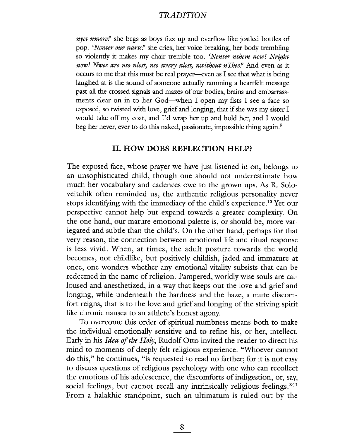nyet nmore!' she begs as boys fizz up and overflow like jostled bottles of pop. 'Nenter our narts!' she cries, her voice breaking, her body trembling so violently it makes my chair tremble too. 'Nenter nthem now! Nright now! Nwee are nso nlost, nso nvery nlost, nwithout nThee!' And even as it occurs to me that this must be real prayer—even as I see that what is being laughed at is the sound of someone actually ramming a heartfelt message past all the crossed signals and mazes of our bodies, brains and embarrassments clear on in to her God-when I open my fists I see a face so exposed, so twisted with love, grief and longing, that if she was my sister I would take off my coat, and I'd wrap her up and hold her, and I would beg her never, ever to do this naked, passionate, impossible thing again.<sup>9</sup>

#### II. HOW DOES REFLECTION HELP?

The exposed face, whose prayer we have just listened in on, belongs to an unsophisticated child, though one should not underestimate how much her vocabulary and cadences owe to the grown ups. As R. Soloveitchik often reminded us, the authentic religious personality never stops identifying with the immediacy of the child's experience.<sup>10</sup> Yet our perspective cannot help but expand towards a greater complexity. On the one hand, our matue emotional palette is, or should be, more variegated and subtle than the child's. On the other hand, perhaps for that very reason, the connection between emotional life and ritual response is less vivid. When, at times, the adult posture towards the world becomes, not childlike, but positively childish, jaded and immature at once, one wonders whether any emotional vitality subsists that can be redeemed in the name of religion. Pampered, worldly wise souls are calloused and anesthetized, in a way that keeps out the love and grief and longing, while underneath the hardness and the haze, a mute discomfort reigns, that is to the love and grief and longing of the striving spirit like chronic nausea to an athlete's honest agony.

To overcome this order of spiritual numbness means both to make the individual emotionaly sensitive and to refine his, or her, intellect. Early in his *Idea of the Holy*, Rudolf Otto invited the reader to direct his mind to moments of deeply felt religious experience. "Whoever cannot do ths," he contiues, "is requested to read no farther; for it is not easy to discuss questions of religious psychology with one who can recollect the emotions of his adolescence, the discomforts of indigestion, or, say, social feelings, but cannot recall any intrinsically religious feelings."<sup>11</sup> From a halakhic standpoint, such an ultimatum is ruled out by the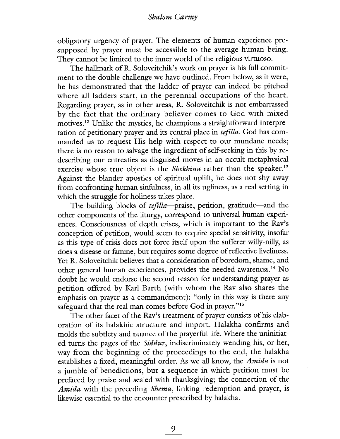obligatory urgency of prayer. The elements of human experience presupposed by prayer must be accessible to the average human being. They cannot be limited to the inner world of the religious virtuoso.

The hallmark of R. Soloveitchik's work on prayer is his full commitment to the double chalenge we have outlined. From below, as it were, he has demonstrated that the ladder of prayer can indeed be pitched where all ladders start, in the perennial occupations of the heart. Regarding prayer, as in other areas, R. Soloveitchik is not embarrassed by the fact that the ordinary believer comes to God with mixed motives.<sup>12</sup> Unlike the mystics, he champions a straightforward interpretation of petitionary prayer and its central place in tefilla. God has commanded us to request His help with respect to our mundane needs; there is no reason to salvage the ingredient of self-seeking in this by redescribing our entreaties as disguised moves in an occult metaphysical exercise whose true object is the *Shekhina* rather than the speaker.<sup>13</sup> Against the blander apostles of spiritual uplift, he does not shy away from confronting human sinfulness, in all its ugliness, as a real setting in which the struggle for holiness takes place.

The building blocks of *tefilla*-praise, petition, gratitude-and the other components of the liturgy, correspond to unversal human experiences. Consciousness of depth crises, which is important to the Rav's conception of petition, would seem to requie special sensitivity, insofar as this type of crisis does not force itself upon the sufferer willy-nilly, as does a disease or famine, but requires some degree of reflective liveliness. Yet R. Soloveitchik believes that a consideration of boredom, shame, and other general human experiences, provides the needed awareness.14 No doubt he would endorse the second reason for understanding prayer as petition offered by Karl Barth (with whom the Rav also shares the emphasis on prayer as a commandment): "only in this way is there any safeguard that the real man comes before God in prayer."<sup>15</sup>

The other facet of the Rav's treatment of prayer consists of his elaboration of its halakhic structure and import. Halakha confirms and molds the subtlety and nuance of the prayerful life. Where the uninitiated turns the pages of the *Siddur*, indiscriminately wending his, or her, way from the beginning of the proceedings to the end, the halakha establishes a fixed, meaningful order. As we all know, the Amida is not a jumble of benedictions, but a sequence in which petition must be prefaced by praise and sealed with thanksgiving; the connection of the Amida with the preceding Shema, linking redemption and prayer, is likewise essential to the encounter prescribed by halakha.

9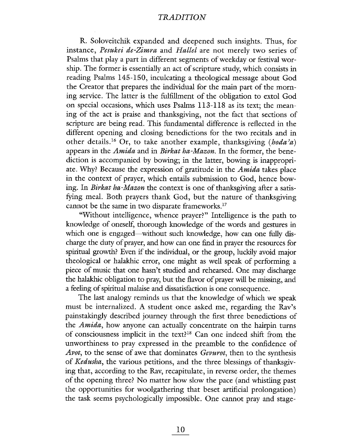R. Soloveitchik expanded and deepened such insights. Thus, for instance, Pesukei de-Zimra and Hallel are not merely two series of Psalms that play a part in different segments of weekday or festival worship. The former is essentialy an act of scripture study, which consists in reading Psalms 145-150, inculcating a theological message about God the Creator that prepares the individual for the main part of the morning service. The latter is the fufillment of the obligation to extol God on special occasions, which uses Psalms 113-118 as its text; the meaning of the act is praise and thanksgiving, not the fact that sections of scripture are being read. This fundamental difference is reflected in the different opening and closing benedictions for the two recitals and in other details.<sup>16</sup> Or, to take another example, thanksgiving (*hoda'a*) appears in the Amida and in Birkat ha-Mazon. In the former, the benediction is accompanied by bowing; in the latter, bowing is inappropriate. Why? Because the expression of gratitude in the *Amida* takes place in the context of prayer, which entais submission to God, hence bowing. In Birkat ha-Mazon the context is one of thanksgiving after a satisfying meaL. Both prayers thank God, but the nature of thanksgiving cannot be the same in two disparate frameworks.<sup>17</sup>

"Without intellgence, whence prayer?" Intelligence is the path to knowledge of oneself, thorough knowledge of the words and gestues in which one is engaged—without such knowledge, how can one fully discharge the duty of prayer, and how can one fid in prayer the resources for spiritual growth? Even if the individual, or the group, luckily avoid major theological or halakhic error, one might as well speak of performing a piece of music that one hasn't studied and rehearsed. One may discharge the halakhic obligation to pray, but the flavor of prayer will be missing, and a feelig of spirtual malaise and dissatisfaction is one consequence.

The last analogy reminds us that the knowledge of which we speak must be internalized. A student once asked me, regarding the Rav's painstakingly described journey through the first three benedictions of the *Amida*, how anyone can actually concentrate on the hairpin turns of consciousness implicit in the text?<sup>18</sup> Can one indeed shift from the unworthiness to pray expressed in the preamble to the confidence of Avot, to the sense of awe that dominates Gevurot, then to the synthesis of Kedusha, the various petitions, and the three blessings of thanksgiving that, according to the Rav, recapitulate, in reverse order, the themes of the openig thee? No matter how slow the pace (and whistlng past the opportunities for woolgathering that beset artificial prolongation) the task seems psychologicaly impossible. One canot pray and stage-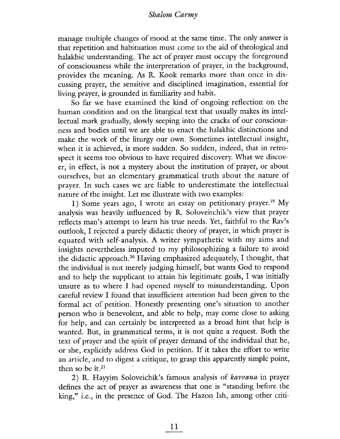manage multiple changes of mood at the same time. The only answer is that repetition and habituation must come to the aid of theological and halakhic understanding. The act of prayer must occupy the foreground of consciousness while the interpretation of prayer, in the background, provides the meaning. As R. Kook remarks more than once in discussing prayer, the sensitive and disciplined imagination, essential for living prayer, is grounded in familiarity and habit.

So far we have examined the kind of ongoing reflection on the human condition and on the liturgical text that usually makes its intellectual mark gradually, slowly seeping into the cracks of our consciousness and bodies until we are able to enact the halakhic distinctions and make the work of the liturgy our own. Sometimes intellectual insight, when it is achieved, is more sudden. So sudden, indeed, that in retrospect it seems too obvious to have required discovery. What we discover, in effect, is not a mystery about the institution of prayer, or about ourselves, but an elementary grammatical truth about the nature of prayer. In such cases we are liable to underestimate the intellectual nature of the insight. Let me illustrate with two examples:

1) Some years ago, I wrote an essay on petitionary prayer.<sup>19</sup> My analysis was heavily influenced by R. Soloveitchik's view that prayer reflects man's attempt to learn his true needs. Yet, faithful to the Rav's outlook, I rejected a purely didactic theory of prayer, in which prayer is equated with self-analysis. A writer sympathetic with my aims and insights nevertheless imputed to my philosophizing a failure to avoid the didactic approach.20 Having emphasized adequately, I thought, that the individual is not merely judging himself, but wants God to respond and to help the supplicant to attain his legitimate goals, I was initially unsure as to where I had opened myself to misunderstanding. Upon careful review I found that insufficient attention had been given to the formal act of petition. Honestly presenting one's situation to another person who is benevolent, and able to help, may come close to askig for help, and can certainly be interpreted as a broad hint that help is wanted. But, in grammatical terms, it is not quite a request. Both the text of prayer and the spirit of prayer demand of the individual that he, or she, explicitly address God in petition. If it takes the effort to write an artide, and to digest a critique, to grasp this apparently simple point, then so be it. $21$ 

2) R. Hayyim Soloveichik's famous analysis of kavvana in prayer defines the act of prayer as awareness that one is "standing before the king," i.e., in the presence of God. The Hazon Ish, among other criti-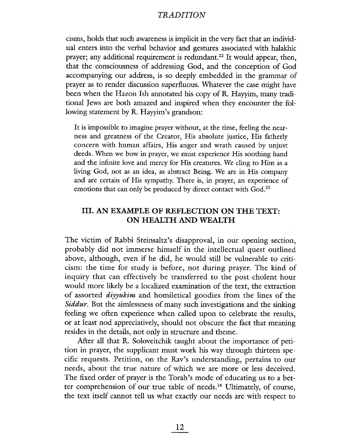cisms, holds that such awareness is implicit in the very fact that an individual enters into the verbal behavior and gestures associated with halakhic prayer; any additional requirement is redundant.<sup>22</sup> It would appear, then, that the consciousness of addressing God, and the conception of God accompanying our address, is so deeply embedded in the grammar of prayer as to render discussion superfluous. Whatever the case might have been when the Hazon Ish annotated his copy of R. Hayyim, many traditional Jews are both amazed and inspired when they encounter the following statement by R. Hayyim's grandson:

It is impossible to imagine prayer without, at the time, feelig the nearness and greatness of the Creator, His absolute justice, His fatherly concern with human affairs, His anger and wrath caused by unjust deeds. When we bow in prayer, we must experience His soothing hand and the infinite love and mercy for His creatures. We cling to Him as a living God, not as an idea, as abstract Being. We are in His company and are certain of His sympathy. There is, in prayer, an experience of emotions that can only be produced by direct contact with God.<sup>23</sup>

# III. AN EXAMPLE OF REFLECTION ON THE TEXT: ON HEALTH AND WEALTH

The victim of Rabbi Steinsaltz's disapproval, in our opening section, probably did not immerse himself in the intellectual quest outlined above, although, even if he did, he would still be vunerable to criticism: the time for study is before, not during prayer. The kind of inquiry that can effectively be transferred to the post-cholent hour would more likely be a localized examination of the text, the extraction of assorted diyyukim and homiletical goodies from the lines of the Siddur. But the aimlessness of many such investigations and the sinking feeling we often experience when called upon to celebrate the results, or at least nod appreciatively, should not obscure the fact that meaning resides in the details, not only in structure and theme.

After all that R. Soloveitchik taught about the importance of petition in prayer, the supplicant must work his way through thirteen specific requests. Petition, on the Rav's understanding, pertains to our needs, about the true nature of which we are more or less deceived. The fixed order of prayer is the Torah's mode of educating us to a better comprehension of our true table of needs.<sup>24</sup> Ultimately, of course, the text itself canot tell us what exactly our needs are with respect to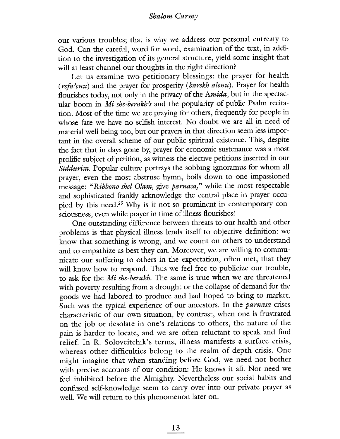our various troubles; that is why we address our personal entreaty to God. Can the careful, word for word, examination of the text, in addition to the investigation of its general structure, yield some insight that will at least channel our thoughts in the right direction?

Let us examine two petitionary blessings: the prayer for health  $(refa<sup>2</sup>enu)$  and the prayer for prosperity (barekh alenu). Prayer for health flourishes today, not only in the privacy of the Amida, but in the spectacular boom in Mi she-berakh's and the popularity of public Psalm recitation. Most of the time we are praying for others, frequently for people in whose fate we have no selfish interest. No doubt we are all in need of material well being too, but our prayers in that direction seem less important in the overall scheme of our public spiritual existence. This, despite the fact that in days gone by, prayer for economic sustenance was a most prolific subject of petition, as witness the elective petitions inserted in our Siddurim. Popular culture portrays the sobbing ignoramus for whom all prayer, even the most abstruse hymn, boils down to one impassioned message: "Ribbono shel Olam, give parnasa," while the most respectable and sophisticated frankly acknowledge the central place in prayer occupied by this need.<sup>25</sup> Why is it not so prominent in contemporary consciousness, even while prayer in time of illness flourishes?

One outstanding difference between threats to our health and other problems is that physical illness lends itself to objective definition: we know that something is wrong, and we count on others to understand and to empathize as best they can. Moreover, we are willing to communicate our suffering to others in the expectation, often met, that they will know how to respond. Thus we feel free to publicize our trouble, to ask for the Mi she-berakh. The same is true when we are threatened with poverty resulting from a drought or the collapse of demand for the goods we had labored to produce and had hoped to bring to market. Such was the typical experience of our ancestors. In the *parnasa* crises characteristic of our own situation, by contrast, when one is frustrated on the job or desolate in one's relations to others, the nature of the pain is harder to locate, and we are often reluctant to speak and find relief. In R. Soloveitchik's terms, illness manifests a surface crisis, whereas other difficulties belong to the realm of depth crisis. One might imagine that when standing before God, we need not bother with precise accounts of our condition: He knows it all. Nor need we feel inhbited before the Almighty. Nevertheless our social habits and confused self-knowledge seem to carry over into our private prayer as well. We will return to this phenomenon later on.